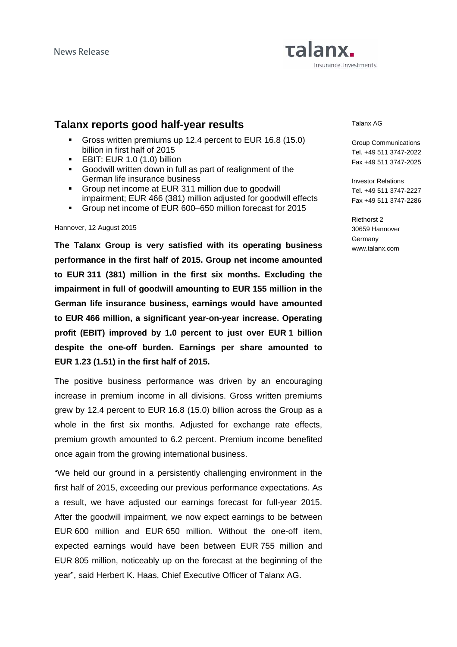# Talanx. Insurance, Investments.

# **Talanx reports good half-year results**

- Gross written premiums up 12.4 percent to EUR 16.8 (15.0) billion in first half of 2015
- **EBIT: EUR 1.0 (1.0) billion**
- Goodwill written down in full as part of realignment of the German life insurance business
- Group net income at EUR 311 million due to goodwill impairment; EUR 466 (381) million adjusted for goodwill effects
- Group net income of EUR 600–650 million forecast for 2015

#### Hannover, 12 August 2015

**The Talanx Group is very satisfied with its operating business performance in the first half of 2015. Group net income amounted to EUR 311 (381) million in the first six months. Excluding the impairment in full of goodwill amounting to EUR 155 million in the German life insurance business, earnings would have amounted to EUR 466 million, a significant year-on-year increase. Operating profit (EBIT) improved by 1.0 percent to just over EUR 1 billion despite the one-off burden. Earnings per share amounted to EUR 1.23 (1.51) in the first half of 2015.** 

The positive business performance was driven by an encouraging increase in premium income in all divisions. Gross written premiums grew by 12.4 percent to EUR 16.8 (15.0) billion across the Group as a whole in the first six months. Adjusted for exchange rate effects, premium growth amounted to 6.2 percent. Premium income benefited once again from the growing international business.

"We held our ground in a persistently challenging environment in the first half of 2015, exceeding our previous performance expectations. As a result, we have adjusted our earnings forecast for full-year 2015. After the goodwill impairment, we now expect earnings to be between EUR 600 million and EUR 650 million. Without the one-off item, expected earnings would have been between EUR 755 million and EUR 805 million, noticeably up on the forecast at the beginning of the year", said Herbert K. Haas, Chief Executive Officer of Talanx AG.

Talanx AG

Group Communications Tel. +49 511 3747-2022 Fax +49 511 3747-2025

Investor Relations Tel. +49 511 3747-2227 Fax +49 511 3747-2286

Riethorst 2 30659 Hannover **Germany** www.talanx.com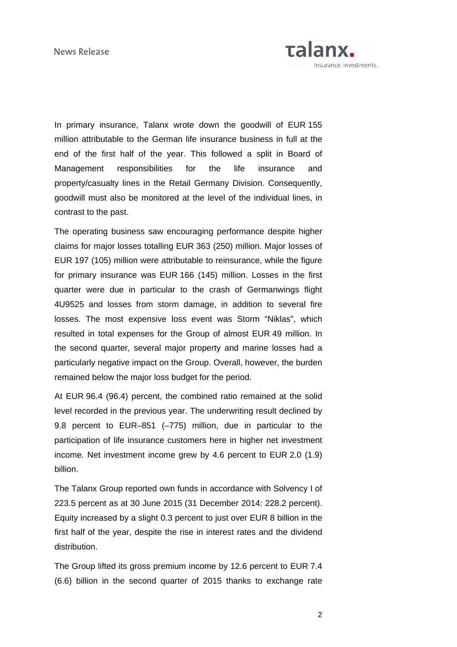

In primary insurance, Talanx wrote down the goodwill of EUR 155 million attributable to the German life insurance business in full at the end of the first half of the year. This followed a split in Board of Management responsibilities for the life insurance and property/casualty lines in the Retail Germany Division. Consequently, goodwill must also be monitored at the level of the individual lines, in contrast to the past.

The operating business saw encouraging performance despite higher claims for major losses totalling EUR 363 (250) million. Major losses of EUR 197 (105) million were attributable to reinsurance, while the figure for primary insurance was EUR 166 (145) million. Losses in the first quarter were due in particular to the crash of Germanwings flight 4U9525 and losses from storm damage, in addition to several fire losses. The most expensive loss event was Storm "Niklas", which resulted in total expenses for the Group of almost EUR 49 million. In the second quarter, several major property and marine losses had a particularly negative impact on the Group. Overall, however, the burden remained below the major loss budget for the period.

At EUR 96.4 (96.4) percent, the combined ratio remained at the solid level recorded in the previous year. The underwriting result declined by 9.8 percent to EUR–851 (–775) million, due in particular to the participation of life insurance customers here in higher net investment income. Net investment income grew by 4.6 percent to EUR 2.0 (1.9) billion.

The Talanx Group reported own funds in accordance with Solvency I of 223.5 percent as at 30 June 2015 (31 December 2014: 228.2 percent). Equity increased by a slight 0.3 percent to just over EUR 8 billion in the first half of the year, despite the rise in interest rates and the dividend distribution.

The Group lifted its gross premium income by 12.6 percent to EUR 7.4 (6.6) billion in the second quarter of 2015 thanks to exchange rate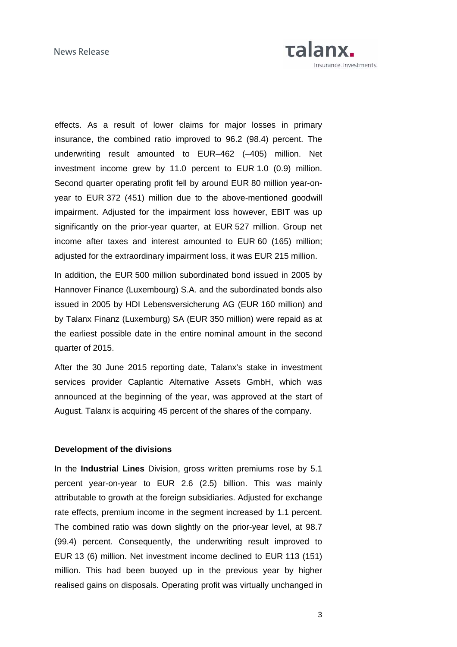

effects. As a result of lower claims for major losses in primary insurance, the combined ratio improved to 96.2 (98.4) percent. The underwriting result amounted to EUR–462 (–405) million. Net investment income grew by 11.0 percent to EUR 1.0 (0.9) million. Second quarter operating profit fell by around EUR 80 million year-onyear to EUR 372 (451) million due to the above-mentioned goodwill impairment. Adjusted for the impairment loss however, EBIT was up significantly on the prior-year quarter, at EUR 527 million. Group net income after taxes and interest amounted to EUR 60 (165) million; adjusted for the extraordinary impairment loss, it was EUR 215 million.

In addition, the EUR 500 million subordinated bond issued in 2005 by Hannover Finance (Luxembourg) S.A. and the subordinated bonds also issued in 2005 by HDI Lebensversicherung AG (EUR 160 million) and by Talanx Finanz (Luxemburg) SA (EUR 350 million) were repaid as at the earliest possible date in the entire nominal amount in the second quarter of 2015.

After the 30 June 2015 reporting date, Talanx's stake in investment services provider Caplantic Alternative Assets GmbH, which was announced at the beginning of the year, was approved at the start of August. Talanx is acquiring 45 percent of the shares of the company.

### **Development of the divisions**

In the **Industrial Lines** Division, gross written premiums rose by 5.1 percent year-on-year to EUR 2.6 (2.5) billion. This was mainly attributable to growth at the foreign subsidiaries. Adjusted for exchange rate effects, premium income in the segment increased by 1.1 percent. The combined ratio was down slightly on the prior-year level, at 98.7 (99.4) percent. Consequently, the underwriting result improved to EUR 13 (6) million. Net investment income declined to EUR 113 (151) million. This had been buoyed up in the previous year by higher realised gains on disposals. Operating profit was virtually unchanged in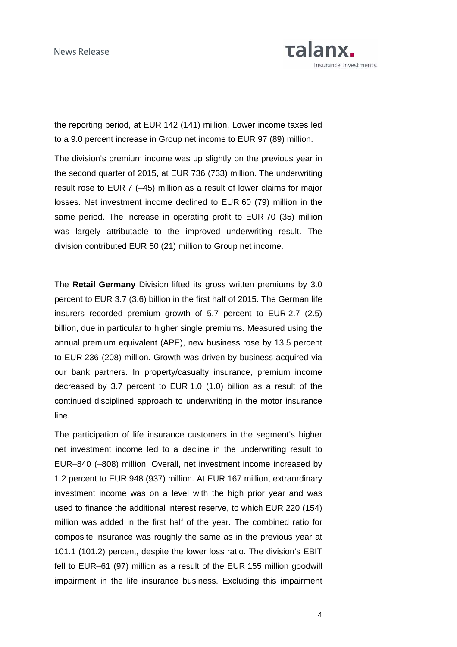

the reporting period, at EUR 142 (141) million. Lower income taxes led to a 9.0 percent increase in Group net income to EUR 97 (89) million.

The division's premium income was up slightly on the previous year in the second quarter of 2015, at EUR 736 (733) million. The underwriting result rose to EUR 7 (–45) million as a result of lower claims for major losses. Net investment income declined to EUR 60 (79) million in the same period. The increase in operating profit to EUR 70 (35) million was largely attributable to the improved underwriting result. The division contributed EUR 50 (21) million to Group net income.

The **Retail Germany** Division lifted its gross written premiums by 3.0 percent to EUR 3.7 (3.6) billion in the first half of 2015. The German life insurers recorded premium growth of 5.7 percent to EUR 2.7 (2.5) billion, due in particular to higher single premiums. Measured using the annual premium equivalent (APE), new business rose by 13.5 percent to EUR 236 (208) million. Growth was driven by business acquired via our bank partners. In property/casualty insurance, premium income decreased by 3.7 percent to EUR 1.0 (1.0) billion as a result of the continued disciplined approach to underwriting in the motor insurance line.

The participation of life insurance customers in the segment's higher net investment income led to a decline in the underwriting result to EUR–840 (–808) million. Overall, net investment income increased by 1.2 percent to EUR 948 (937) million. At EUR 167 million, extraordinary investment income was on a level with the high prior year and was used to finance the additional interest reserve, to which EUR 220 (154) million was added in the first half of the year. The combined ratio for composite insurance was roughly the same as in the previous year at 101.1 (101.2) percent, despite the lower loss ratio. The division's EBIT fell to EUR–61 (97) million as a result of the EUR 155 million goodwill impairment in the life insurance business. Excluding this impairment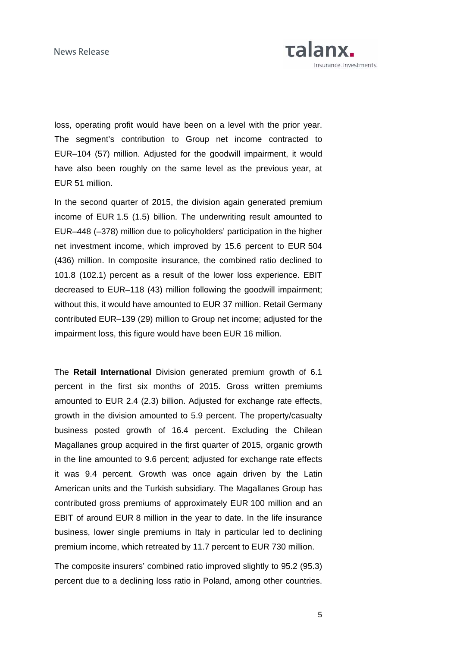

loss, operating profit would have been on a level with the prior year. The segment's contribution to Group net income contracted to EUR–104 (57) million. Adjusted for the goodwill impairment, it would have also been roughly on the same level as the previous year, at EUR 51 million.

In the second quarter of 2015, the division again generated premium income of EUR 1.5 (1.5) billion. The underwriting result amounted to EUR–448 (–378) million due to policyholders' participation in the higher net investment income, which improved by 15.6 percent to EUR 504 (436) million. In composite insurance, the combined ratio declined to 101.8 (102.1) percent as a result of the lower loss experience. EBIT decreased to EUR–118 (43) million following the goodwill impairment; without this, it would have amounted to EUR 37 million. Retail Germany contributed EUR–139 (29) million to Group net income; adjusted for the impairment loss, this figure would have been EUR 16 million.

The **Retail International** Division generated premium growth of 6.1 percent in the first six months of 2015. Gross written premiums amounted to EUR 2.4 (2.3) billion. Adjusted for exchange rate effects, growth in the division amounted to 5.9 percent. The property/casualty business posted growth of 16.4 percent. Excluding the Chilean Magallanes group acquired in the first quarter of 2015, organic growth in the line amounted to 9.6 percent; adjusted for exchange rate effects it was 9.4 percent. Growth was once again driven by the Latin American units and the Turkish subsidiary. The Magallanes Group has contributed gross premiums of approximately EUR 100 million and an EBIT of around EUR 8 million in the year to date. In the life insurance business, lower single premiums in Italy in particular led to declining premium income, which retreated by 11.7 percent to EUR 730 million.

The composite insurers' combined ratio improved slightly to 95.2 (95.3) percent due to a declining loss ratio in Poland, among other countries.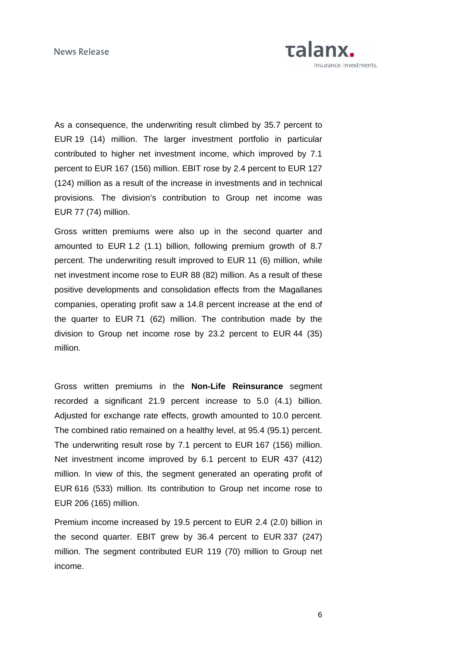

As a consequence, the underwriting result climbed by 35.7 percent to EUR 19 (14) million. The larger investment portfolio in particular contributed to higher net investment income, which improved by 7.1 percent to EUR 167 (156) million. EBIT rose by 2.4 percent to EUR 127 (124) million as a result of the increase in investments and in technical provisions. The division's contribution to Group net income was EUR 77 (74) million.

Gross written premiums were also up in the second quarter and amounted to EUR 1.2 (1.1) billion, following premium growth of 8.7 percent. The underwriting result improved to EUR 11 (6) million, while net investment income rose to EUR 88 (82) million. As a result of these positive developments and consolidation effects from the Magallanes companies, operating profit saw a 14.8 percent increase at the end of the quarter to EUR 71 (62) million. The contribution made by the division to Group net income rose by 23.2 percent to EUR 44 (35) million.

Gross written premiums in the **Non-Life Reinsurance** segment recorded a significant 21.9 percent increase to 5.0 (4.1) billion. Adjusted for exchange rate effects, growth amounted to 10.0 percent. The combined ratio remained on a healthy level, at 95.4 (95.1) percent. The underwriting result rose by 7.1 percent to EUR 167 (156) million. Net investment income improved by 6.1 percent to EUR 437 (412) million. In view of this, the segment generated an operating profit of EUR 616 (533) million. Its contribution to Group net income rose to EUR 206 (165) million.

Premium income increased by 19.5 percent to EUR 2.4 (2.0) billion in the second quarter. EBIT grew by 36.4 percent to EUR 337 (247) million. The segment contributed EUR 119 (70) million to Group net income.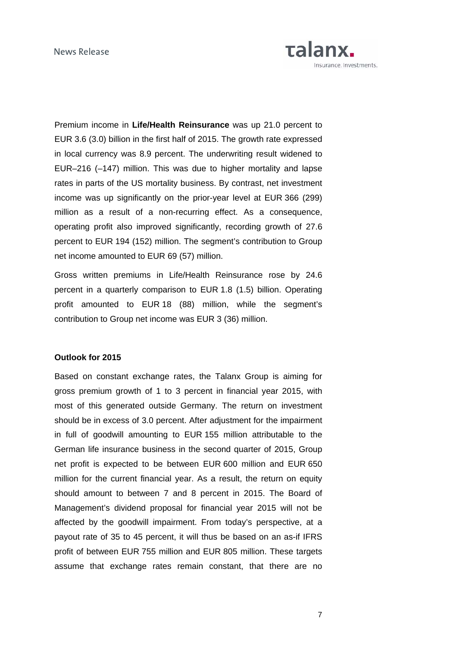

Premium income in **Life/Health Reinsurance** was up 21.0 percent to EUR 3.6 (3.0) billion in the first half of 2015. The growth rate expressed in local currency was 8.9 percent. The underwriting result widened to EUR–216 (–147) million. This was due to higher mortality and lapse rates in parts of the US mortality business. By contrast, net investment income was up significantly on the prior-year level at EUR 366 (299) million as a result of a non-recurring effect. As a consequence, operating profit also improved significantly, recording growth of 27.6 percent to EUR 194 (152) million. The segment's contribution to Group net income amounted to EUR 69 (57) million.

Gross written premiums in Life/Health Reinsurance rose by 24.6 percent in a quarterly comparison to EUR 1.8 (1.5) billion. Operating profit amounted to EUR 18 (88) million, while the segment's contribution to Group net income was EUR 3 (36) million.

### **Outlook for 2015**

Based on constant exchange rates, the Talanx Group is aiming for gross premium growth of 1 to 3 percent in financial year 2015, with most of this generated outside Germany. The return on investment should be in excess of 3.0 percent. After adjustment for the impairment in full of goodwill amounting to EUR 155 million attributable to the German life insurance business in the second quarter of 2015, Group net profit is expected to be between EUR 600 million and EUR 650 million for the current financial year. As a result, the return on equity should amount to between 7 and 8 percent in 2015. The Board of Management's dividend proposal for financial year 2015 will not be affected by the goodwill impairment. From today's perspective, at a payout rate of 35 to 45 percent, it will thus be based on an as-if IFRS profit of between EUR 755 million and EUR 805 million. These targets assume that exchange rates remain constant, that there are no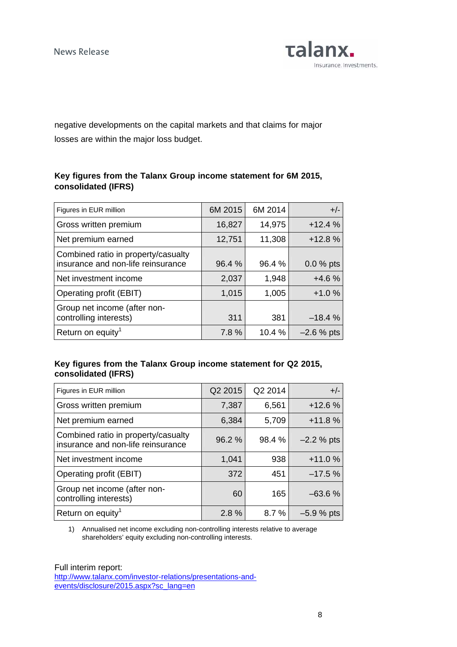

negative developments on the capital markets and that claims for major losses are within the major loss budget.

# **Key figures from the Talanx Group income statement for 6M 2015, consolidated (IFRS)**

| Figures in EUR million                                                    | 6M 2015 | 6M 2014 | $+/-$        |
|---------------------------------------------------------------------------|---------|---------|--------------|
| Gross written premium                                                     | 16,827  | 14,975  | $+12.4%$     |
| Net premium earned                                                        | 12,751  | 11,308  | $+12.8%$     |
| Combined ratio in property/casualty<br>insurance and non-life reinsurance | 96.4 %  | 96.4 %  | $0.0 %$ pts  |
| Net investment income                                                     | 2,037   | 1,948   | $+4.6%$      |
| Operating profit (EBIT)                                                   | 1,015   | 1,005   | $+1.0%$      |
| Group net income (after non-<br>controlling interests)                    | 311     | 381     | $-18.4%$     |
| Return on equity <sup>1</sup>                                             | 7.8%    | 10.4%   | $-2.6\%$ pts |

## **Key figures from the Talanx Group income statement for Q2 2015, consolidated (IFRS)**

| Q2 2015 | Q2 2014 | $+/-$        |
|---------|---------|--------------|
| 7,387   | 6,561   | $+12.6%$     |
| 6,384   | 5,709   | $+11.8%$     |
| 96.2 %  | 98.4 %  | $-2.2 %$ pts |
| 1,041   | 938     | $+11.0%$     |
| 372     | 451     | $-17.5%$     |
| 60      | 165     | $-63.6%$     |
| 2.8%    | 8.7%    | $-5.9%$ pts  |
|         |         |              |

1) Annualised net income excluding non-controlling interests relative to average shareholders' equity excluding non-controlling interests.

Full interim report: [http://www.talanx.com/investor-relations/presentations-and](http://www.talanx.com/investor-relations/presentations-and-events/disclosure/2015.aspx?sc_lang=en)[events/disclosure/2015.aspx?sc\\_lang=en](http://www.talanx.com/investor-relations/presentations-and-events/disclosure/2015.aspx?sc_lang=en)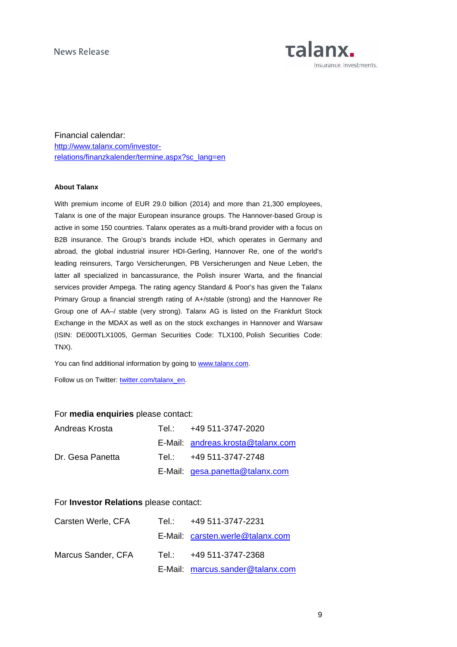

Financial calendar: [http://www.talanx.com/investor](http://www.talanx.com/investor-relations/finanzkalender/termine.aspx?sc_lang=en)[relations/finanzkalender/termine.aspx?sc\\_lang=en](http://www.talanx.com/investor-relations/finanzkalender/termine.aspx?sc_lang=en)

#### **About Talanx**

With premium income of EUR 29.0 billion (2014) and more than 21,300 employees, Talanx is one of the major European insurance groups. The Hannover-based Group is active in some 150 countries. Talanx operates as a multi-brand provider with a focus on B2B insurance. The Group's brands include HDI, which operates in Germany and abroad, the global industrial insurer HDI-Gerling, Hannover Re, one of the world's leading reinsurers, Targo Versicherungen, PB Versicherungen and Neue Leben, the latter all specialized in bancassurance, the Polish insurer Warta, and the financial services provider Ampega. The rating agency Standard & Poor's has given the Talanx Primary Group a financial strength rating of A+/stable (strong) and the Hannover Re Group one of AA–/ stable (very strong). Talanx AG is listed on the Frankfurt Stock Exchange in the MDAX as well as on the stock exchanges in Hannover and Warsaw (ISIN: DE000TLX1005, German Securities Code: TLX100, Polish Securities Code: TNX).

You can find additional information by going to [www.talanx.com.](http://www.talanx.com/?sc_lang=en)

Follow us on Twitter: [twitter.com/talanx\\_en.](https://twitter.com/talanx_en)

#### For **media enquiries** please contact:

| Andreas Krosta   | Tel.: +49 511-3747-2020           |
|------------------|-----------------------------------|
|                  | E-Mail: andreas.krosta@talanx.com |
| Dr. Gesa Panetta | Tel.: +49 511-3747-2748           |
|                  | E-Mail: gesa.panetta@talanx.com   |

### For **Investor Relations** please contact:

| Carsten Werle, CFA | Tel.: T | +49 511-3747-2231                |
|--------------------|---------|----------------------------------|
|                    |         | E-Mail: carsten.werle@talanx.com |
| Marcus Sander, CFA | Tel.: ∴ | +49 511-3747-2368                |
|                    |         | E-Mail: marcus.sander@talanx.com |